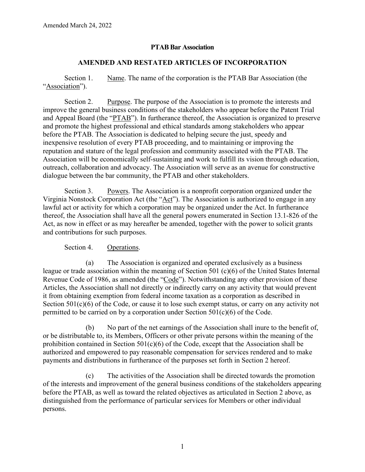## **PTAB Bar Association**

## **AMENDED AND RESTATED ARTICLES OF INCORPORATION**

Section 1. Name. The name of the corporation is the PTAB Bar Association (the "Association").

Section 2. Purpose. The purpose of the Association is to promote the interests and improve the general business conditions of the stakeholders who appear before the Patent Trial and Appeal Board (the "PTAB"). In furtherance thereof, the Association is organized to preserve and promote the highest professional and ethical standards among stakeholders who appear before the PTAB. The Association is dedicated to helping secure the just, speedy and inexpensive resolution of every PTAB proceeding, and to maintaining or improving the reputation and stature of the legal profession and community associated with the PTAB. The Association will be economically self-sustaining and work to fulfill its vision through education, outreach, collaboration and advocacy. The Association will serve as an avenue for constructive dialogue between the bar community, the PTAB and other stakeholders.

Section 3. Powers. The Association is a nonprofit corporation organized under the Virginia Nonstock Corporation Act (the "Act"). The Association is authorized to engage in any lawful act or activity for which a corporation may be organized under the Act. In furtherance thereof, the Association shall have all the general powers enumerated in Section 13.1-826 of the Act, as now in effect or as may hereafter be amended, together with the power to solicit grants and contributions for such purposes.

## Section 4. Operations.

(a) The Association is organized and operated exclusively as a business league or trade association within the meaning of Section 501 (c)(6) of the United States Internal Revenue Code of 1986, as amended (the "Code"). Notwithstanding any other provision of these Articles, the Association shall not directly or indirectly carry on any activity that would prevent it from obtaining exemption from federal income taxation as a corporation as described in Section 501(c)(6) of the Code, or cause it to lose such exempt status, or carry on any activity not permitted to be carried on by a corporation under Section  $501(c)(6)$  of the Code.

(b) No part of the net earnings of the Association shall inure to the benefit of, or be distributable to, its Members, Officers or other private persons within the meaning of the prohibition contained in Section  $501(c)(6)$  of the Code, except that the Association shall be authorized and empowered to pay reasonable compensation for services rendered and to make payments and distributions in furtherance of the purposes set forth in Section 2 hereof.

(c) The activities of the Association shall be directed towards the promotion of the interests and improvement of the general business conditions of the stakeholders appearing before the PTAB, as well as toward the related objectives as articulated in Section 2 above, as distinguished from the performance of particular services for Members or other individual persons.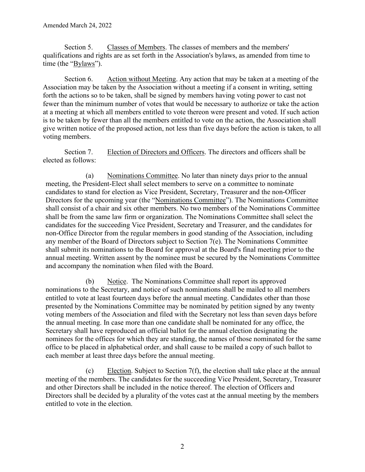Section 5. Classes of Members. The classes of members and the members' qualifications and rights are as set forth in the Association's bylaws, as amended from time to time (the "Bylaws").

Section 6. Action without Meeting. Any action that may be taken at a meeting of the Association may be taken by the Association without a meeting if a consent in writing, setting forth the actions so to be taken, shall be signed by members having voting power to cast not fewer than the minimum number of votes that would be necessary to authorize or take the action at a meeting at which all members entitled to vote thereon were present and voted. If such action is to be taken by fewer than all the members entitled to vote on the action, the Association shall give written notice of the proposed action, not less than five days before the action is taken, to all voting members.

Section 7. Election of Directors and Officers. The directors and officers shall be elected as follows:

(a) Nominations Committee. No later than ninety days prior to the annual meeting, the President-Elect shall select members to serve on a committee to nominate candidates to stand for election as Vice President, Secretary, Treasurer and the non-Officer Directors for the upcoming year (the "Nominations Committee"). The Nominations Committee shall consist of a chair and six other members. No two members of the Nominations Committee shall be from the same law firm or organization. The Nominations Committee shall select the candidates for the succeeding Vice President, Secretary and Treasurer, and the candidates for non-Office Director from the regular members in good standing of the Association, including any member of the Board of Directors subject to Section 7(e). The Nominations Committee shall submit its nominations to the Board for approval at the Board's final meeting prior to the annual meeting. Written assent by the nominee must be secured by the Nominations Committee and accompany the nomination when filed with the Board.

(b) Notice. The Nominations Committee shall report its approved nominations to the Secretary, and notice of such nominations shall be mailed to all members entitled to vote at least fourteen days before the annual meeting. Candidates other than those presented by the Nominations Committee may be nominated by petition signed by any twenty voting members of the Association and filed with the Secretary not less than seven days before the annual meeting. In case more than one candidate shall be nominated for any office, the Secretary shall have reproduced an official ballot for the annual election designating the nominees for the offices for which they are standing, the names of those nominated for the same office to be placed in alphabetical order, and shall cause to be mailed a copy of such ballot to each member at least three days before the annual meeting.

(c) Election. Subject to Section 7(f), the election shall take place at the annual meeting of the members. The candidates for the succeeding Vice President, Secretary, Treasurer and other Directors shall be included in the notice thereof. The election of Officers and Directors shall be decided by a plurality of the votes cast at the annual meeting by the members entitled to vote in the election.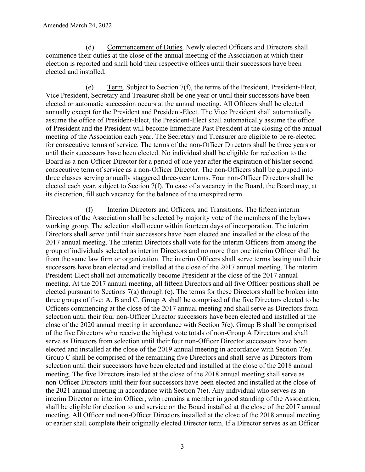(d) Commencement of Duties. Newly elected Officers and Directors shall commence their duties at the close of the annual meeting of the Association at which their election is reported and shall hold their respective offices until their successors have been elected and installed.

(e) Term. Subject to Section 7(f), the terms of the President, President-Elect, Vice President, Secretary and Treasurer shall be one year or until their successors have been elected or automatic succession occurs at the annual meeting. All Officers shall be elected annually except for the President and President-Elect. The Vice President shall automatically assume the office of President-Elect, the President-Elect shall automatically assume the office of President and the President will become Immediate Past President at the closing of the annual meeting of the Association each year. The Secretary and Treasurer are eligible to be re-elected for consecutive terms of service. The terms of the non-Officer Directors shall be three years or until their successors have been elected. No individual shall be eligible for reelection to the Board as a non-Officer Director for a period of one year after the expiration of his/her second consecutive term of service as a non-Officer Director. The non-Officers shall be grouped into three classes serving annually staggered three-year terms. Four non-Officer Directors shall be elected each year, subject to Section 7(f). Tn case of a vacancy in the Board, the Board may, at its discretion, fill such vacancy for the balance of the unexpired term.

(f) Interim Directors and Officers, and Transitions. The fifteen interim Directors of the Association shall be selected by majority vote of the members of the bylaws working group. The selection shall occur within fourteen days of incorporation. The interim Directors shall serve until their successors have been elected and installed at the close of the 2017 annual meeting. The interim Directors shall vote for the interim Officers from among the group of individuals selected as interim Directors and no more than one interim Officer shall be from the same law firm or organization. The interim Officers shall serve terms lasting until their successors have been elected and installed at the close of the 2017 annual meeting. The interim President-Elect shall not automatically become President at the close of the 2017 annual meeting. At the 2017 annual meeting, all fifteen Directors and all five Officer positions shall be elected pursuant to Sections 7(a) through (c). The terms for these Directors shall be broken into three groups of five: A, B and C. Group A shall be comprised of the five Directors elected to be Officers commencing at the close of the 2017 annual meeting and shall serve as Directors from selection until their four non-Officer Director successors have been elected and installed at the close of the 2020 annual meeting in accordance with Section 7(e). Group B shall be comprised of the five Directors who receive the highest vote totals of non-Group A Directors and shall serve as Directors from selection until their four non-Officer Director successors have been elected and installed at the close of the 2019 annual meeting in accordance with Section 7(e). Group C shall be comprised of the remaining five Directors and shall serve as Directors from selection until their successors have been elected and installed at the close of the 2018 annual meeting. The five Directors installed at the close of the 2018 annual meeting shall serve as non-Officer Directors until their four successors have been elected and installed at the close of the 2021 annual meeting in accordance with Section 7(e). Any individual who serves as an interim Director or interim Officer, who remains a member in good standing of the Association, shall be eligible for election to and service on the Board installed at the close of the 2017 annual meeting. All Officer and non-Officer Directors installed at the close of the 2018 annual meeting or earlier shall complete their originally elected Director term. If a Director serves as an Officer